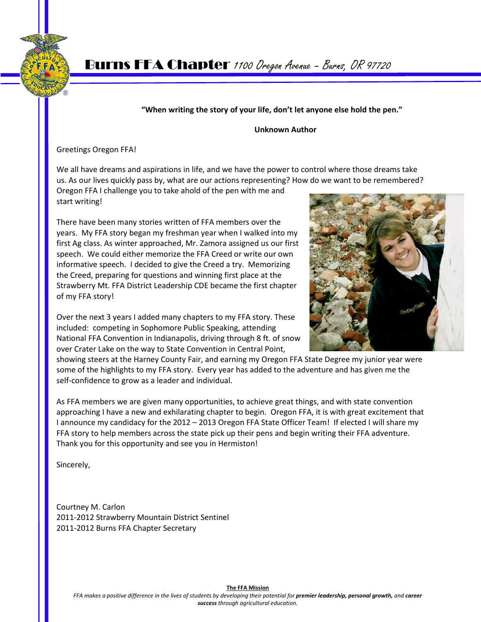

## **"When writing the story of your life, don't let anyone else hold the pen."**

#### **Unknown Author**

Greetings Oregon FFA!

We all have dreams and aspirations in life, and we have the power to control where those dreams take us. As our lives quickly pass by, what are our actions representing? How do we want to be remembered?

Oregon FFA I challenge you to take ahold of the pen with me and start writing!

There have been many stories written of FFA members over the years. My FFA story began my freshman year when I walked into my first Ag class. As winter approached, Mr. Zamora assigned us our first speech. We could either memorize the FFA Creed or write our own informative speech. I decided to give the Creed a try. Memorizing the Creed, preparing for questions and winning first place at the Strawberry Mt. FFA District Leadership CDE became the first chapter of my FFA story!

Over the next 3 years I added many chapters to my FFA story. These included: competing in Sophomore Public Speaking, attending National FFA Convention in Indianapolis, driving through 8 ft. of snow over Crater Lake on the way to State Convention in Central Point,



showing steers at the Harney County Fair, and earning my Oregon FFA State Degree my junior year were some of the highlights to my FFA story. Every year has added to the adventure and has given me the self-confidence to grow as a leader and individual.

As FFA members we are given many opportunities, to achieve great things, and with state convention approaching I have a new and exhilarating chapter to begin. Oregon FFA, it is with great excitement that I announce my candidacy for the 2012 – 2013 Oregon FFA State Officer Team! If elected I will share my FFA story to help members across the state pick up their pens and begin writing their FFA adventure. Thank you for this opportunity and see you in Hermiston!

Sincerely,

Courtney M. Carlon 2011-2012 Strawberry Mountain District Sentinel 2011-2012 Burns FFA Chapter Secretary